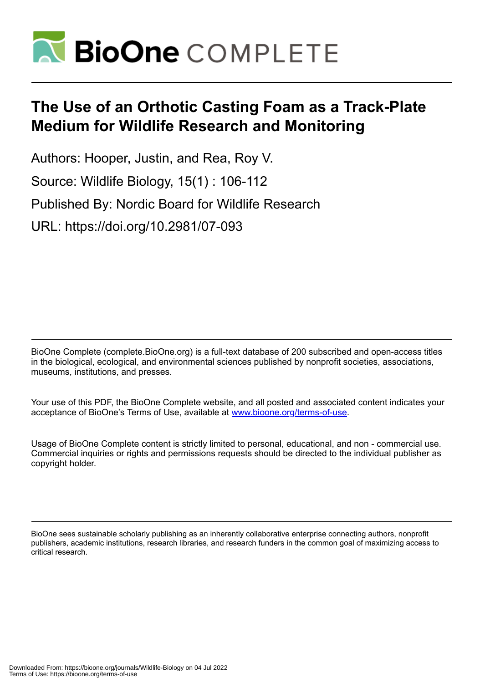

# **The Use of an Orthotic Casting Foam as a Track-Plate Medium for Wildlife Research and Monitoring**

Authors: Hooper, Justin, and Rea, Roy V. Source: Wildlife Biology, 15(1) : 106-112 Published By: Nordic Board for Wildlife Research URL: https://doi.org/10.2981/07-093

BioOne Complete (complete.BioOne.org) is a full-text database of 200 subscribed and open-access titles in the biological, ecological, and environmental sciences published by nonprofit societies, associations, museums, institutions, and presses.

Your use of this PDF, the BioOne Complete website, and all posted and associated content indicates your acceptance of BioOne's Terms of Use, available at www.bioone.org/terms-of-use.

Usage of BioOne Complete content is strictly limited to personal, educational, and non - commercial use. Commercial inquiries or rights and permissions requests should be directed to the individual publisher as copyright holder.

BioOne sees sustainable scholarly publishing as an inherently collaborative enterprise connecting authors, nonprofit publishers, academic institutions, research libraries, and research funders in the common goal of maximizing access to critical research.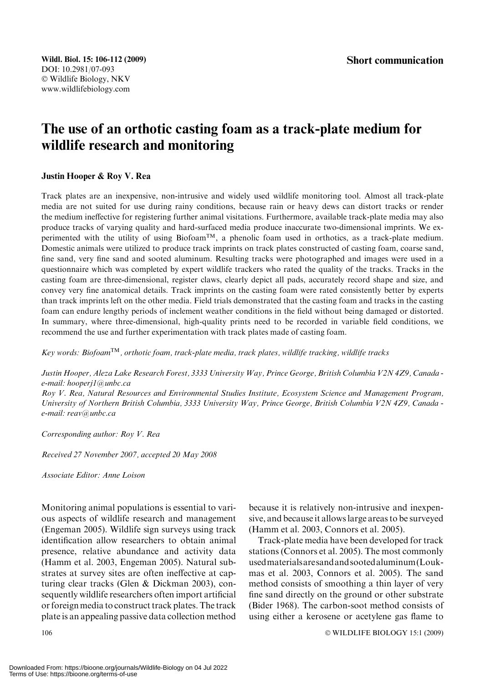## The use of an orthotic casting foam as a track-plate medium for wildlife research and monitoring

#### Justin Hooper & Roy V. Rea

Track plates are an inexpensive, non-intrusive and widely used wildlife monitoring tool. Almost all track-plate media are not suited for use during rainy conditions, because rain or heavy dews can distort tracks or render the medium ineffective for registering further animal visitations. Furthermore, available track-plate media may also produce tracks of varying quality and hard-surfaced media produce inaccurate two-dimensional imprints. We experimented with the utility of using Biofoam™, a phenolic foam used in orthotics, as a track-plate medium. Domestic animals were utilized to produce track imprints on track plates constructed of casting foam, coarse sand, fine sand, very fine sand and sooted aluminum. Resulting tracks were photographed and images were used in a questionnaire which was completed by expert wildlife trackers who rated the quality of the tracks. Tracks in the casting foam are three-dimensional, register claws, clearly depict all pads, accurately record shape and size, and convey very fine anatomical details. Track imprints on the casting foam were rated consistently better by experts than track imprints left on the other media. Field trials demonstrated that the casting foam and tracks in the casting foam can endure lengthy periods of inclement weather conditions in the field without being damaged or distorted. In summary, where three-dimensional, high-quality prints need to be recorded in variable field conditions, we recommend the use and further experimentation with track plates made of casting foam.

Key words: Biofoam<sup>TM</sup>, orthotic foam, track-plate media, track plates, wildlife tracking, wildlife tracks

Justin Hooper, Aleza Lake Research Forest, 3333 University Way, Prince George, British Columbia V2N 4Z9, Canada e-mail: hooperj1@unbc.ca

Roy V. Rea, Natural Resources and Environmental Studies Institute, Ecosystem Science and Management Program, University of Northern British Columbia, 3333 University Way, Prince George, British Columbia V2N 4Z9, Canada e-mail: reav@unbc.ca

Corresponding author: Roy V. Rea

Received 27 November 2007, accepted 20 May 2008

Associate Editor: Anne Loison

Monitoring animal populations is essential to various aspects of wildlife research and management (Engeman 2005). Wildlife sign surveys using track identification allow researchers to obtain animal presence, relative abundance and activity data (Hamm et al. 2003, Engeman 2005). Natural substrates at survey sites are often ineffective at capturing clear tracks (Glen & Dickman 2003), consequently wildlife researchers often import artificial or foreign media to construct track plates. The track plate is an appealing passive data collection method because it is relatively non-intrusive and inexpensive, and because it allows large areas to be surveyed (Hamm et al. 2003, Connors et al. 2005).

Track-plate media have been developed for track stations (Connors et al. 2005). The most commonly usedmaterialsaresandandsootedaluminum(Loukmas et al. 2003, Connors et al. 2005). The sand method consists of smoothing a thin layer of very fine sand directly on the ground or other substrate (Bider 1968). The carbon-soot method consists of using either a kerosene or acetylene gas flame to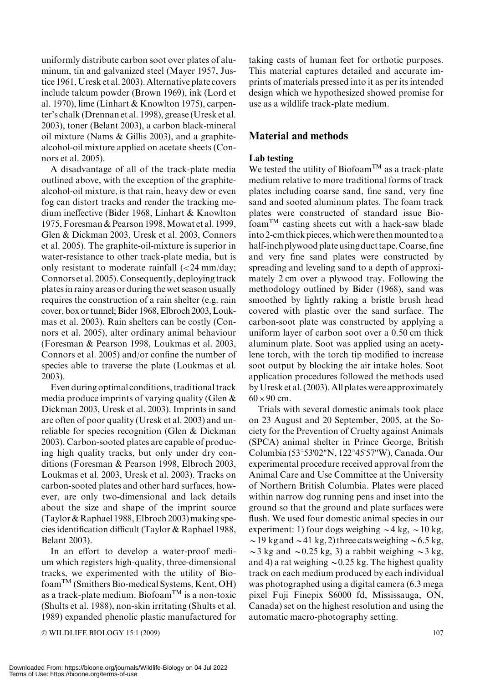uniformly distribute carbon soot over plates of aluminum, tin and galvanized steel (Mayer 1957, Justice 1961, Uresk et al. 2003). Alternative plate covers include talcum powder (Brown 1969), ink (Lord et al. 1970), lime (Linhart & Knowlton 1975), carpenter's chalk (Drennan et al. 1998), grease (Uresk et al. 2003), toner (Belant 2003), a carbon black-mineral oil mixture (Nams & Gillis 2003), and a graphitealcohol-oil mixture applied on acetate sheets (Connors et al. 2005).

A disadvantage of all of the track-plate media outlined above, with the exception of the graphitealcohol-oil mixture, is that rain, heavy dew or even fog can distort tracks and render the tracking medium ineffective (Bider 1968, Linhart & Knowlton 1975, Foresman & Pearson 1998,Mowat et al. 1999, Glen & Dickman 2003, Uresk et al. 2003, Connors et al. 2005). The graphite-oil-mixture is superior in water-resistance to other track-plate media, but is only resistant to moderate rainfall  $\ll$  24 mm/day; Connors et al. 2005). Consequently, deploying track plates in rainy areas or during the wet season usually requires the construction of a rain shelter (e.g. rain cover, box or tunnel; Bider 1968, Elbroch 2003, Loukmas et al. 2003). Rain shelters can be costly (Connors et al. 2005), alter ordinary animal behaviour (Foresman & Pearson 1998, Loukmas et al. 2003, Connors et al. 2005) and/or confine the number of species able to traverse the plate (Loukmas et al. 2003).

Even during optimal conditions, traditional track media produce imprints of varying quality (Glen & Dickman 2003, Uresk et al. 2003). Imprints in sand are often of poor quality (Uresk et al. 2003) and unreliable for species recognition (Glen & Dickman 2003). Carbon-sooted plates are capable of producing high quality tracks, but only under dry conditions (Foresman & Pearson 1998, Elbroch 2003, Loukmas et al. 2003, Uresk et al. 2003). Tracks on carbon-sooted plates and other hard surfaces, however, are only two-dimensional and lack details about the size and shape of the imprint source  $(Taylor & Raphael 1988, Elbroch 2003) making spe$ cies identification difficult (Taylor & Raphael 1988, Belant 2003).

In an effort to develop a water-proof medium which registers high-quality, three-dimensional tracks, we experimented with the utility of BiofoamTM (Smithers Bio-medical Systems, Kent, OH) as a track-plate medium. Biofoam<sup>TM</sup> is a non-toxic (Shults et al. 1988), non-skin irritating (Shults et al. 1989) expanded phenolic plastic manufactured for

 $\odot$  WILDLIFE BIOLOGY 15:1 (2009) 107

taking casts of human feet for orthotic purposes. This material captures detailed and accurate imprints of materials pressed into it as per its intended design which we hypothesized showed promise for use as a wildlife track-plate medium.

## Material and methods

### Lab testing

We tested the utility of Biofoam<sup>TM</sup> as a track-plate medium relative to more traditional forms of track plates including coarse sand, fine sand, very fine sand and sooted aluminum plates. The foam track plates were constructed of standard issue Bio $f$ oam<sup>TM</sup> casting sheets cut with a hack-saw blade into 2-cm thick pieces, which were then mounted to a half-inch plywood plateusing duct tape.Coarse, fine and very fine sand plates were constructed by spreading and leveling sand to a depth of approximately 2 cm over a plywood tray. Following the methodology outlined by Bider (1968), sand was smoothed by lightly raking a bristle brush head covered with plastic over the sand surface. The carbon-soot plate was constructed by applying a uniform layer of carbon soot over a 0.50 cm thick aluminum plate. Soot was applied using an acetylene torch, with the torch tip modified to increase soot output by blocking the air intake holes. Soot application procedures followed the methods used by Uresk et al. (2003). All plates were approximately  $60 \times 90$  cm.

Trials with several domestic animals took place on 23 August and 20 September, 2005, at the Society for the Prevention of Cruelty against Animals (SPCA) animal shelter in Prince George, British Columbia (53°53'02"N, 122°45'57"W), Canada. Our experimental procedure received approval from the Animal Care and Use Committee at the University of Northern British Columbia. Plates were placed within narrow dog running pens and inset into the ground so that the ground and plate surfaces were flush. We used four domestic animal species in our experiment: 1) four dogs weighing  $\sim$  4 kg,  $\sim$  10 kg,  $\sim$  19 kg and  $\sim$  41 kg, 2) three cats weighing  $\sim$  6.5 kg,  $\sim$ 3 kg and  $\sim$ 0.25 kg, 3) a rabbit weighing  $\sim$ 3 kg, and 4) a rat weighing  $\sim$  0.25 kg. The highest quality track on each medium produced by each individual was photographed using a digital camera (6.3 mega pixel Fuji Finepix S6000 fd, Mississauga, ON, Canada) set on the highest resolution and using the automatic macro-photography setting.

Downloaded From: https://bioone.org/journals/Wildlife-Biology on 04 Jul 2022 Terms of Use: https://bioone.org/terms-of-use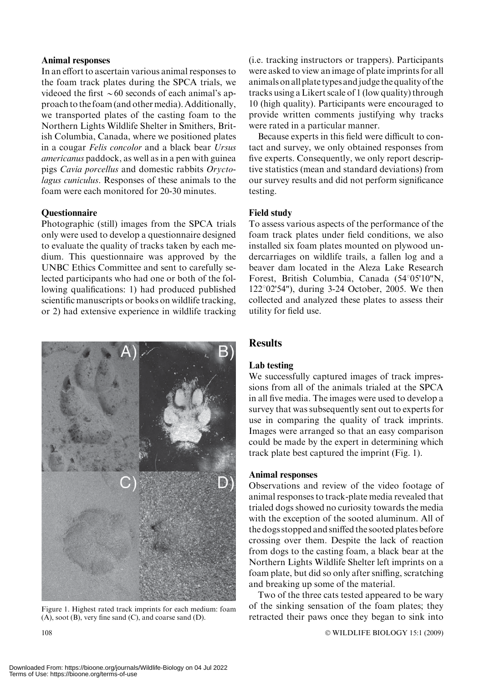#### Animal responses

In an effort to ascertain various animal responses to the foam track plates during the SPCA trials, we videoed the first  $\sim 60$  seconds of each animal's approach to the foam (and other media). Additionally, we transported plates of the casting foam to the Northern Lights Wildlife Shelter in Smithers, British Columbia, Canada, where we positioned plates in a cougar Felis concolor and a black bear Ursus americanus paddock, as well as in a pen with guinea pigs Cavia porcellus and domestic rabbits Oryctolagus cuniculus. Responses of these animals to the foam were each monitored for 20-30 minutes.

#### **Ouestionnaire**

Photographic (still) images from the SPCA trials only were used to develop a questionnaire designed to evaluate the quality of tracks taken by each medium. This questionnaire was approved by the UNBC Ethics Committee and sent to carefully selected participants who had one or both of the following qualifications: 1) had produced published scientific manuscripts or books on wildlife tracking, or 2) had extensive experience in wildlife tracking



Figure 1. Highest rated track imprints for each medium: foam (A), soot (B), very fine sand (C), and coarse sand (D).

(i.e. tracking instructors or trappers). Participants were asked to view an image of plate imprints for all animals on all plate types and judge the quality of the tracks using a Likert scale of 1 (low quality) through 10 (high quality). Participants were encouraged to provide written comments justifying why tracks were rated in a particular manner.

Because experts in this field were difficult to contact and survey, we only obtained responses from five experts. Consequently, we only report descriptive statistics (mean and standard deviations) from our survey results and did not perform significance testing.

#### Field study

To assess various aspects of the performance of the foam track plates under field conditions, we also installed six foam plates mounted on plywood undercarriages on wildlife trails, a fallen log and a beaver dam located in the Aleza Lake Research Forest, British Columbia, Canada (54°05'10"N,  $122^{\circ}02'54'$ , during 3-24 October, 2005. We then collected and analyzed these plates to assess their utility for field use.

#### **Results**

#### Lab testing

We successfully captured images of track impressions from all of the animals trialed at the SPCA in all five media. The images were used to develop a survey that was subsequently sent out to experts for use in comparing the quality of track imprints. Images were arranged so that an easy comparison could be made by the expert in determining which track plate best captured the imprint (Fig. 1).

#### Animal responses

Observations and review of the video footage of animal responses to track-plate media revealed that trialed dogs showed no curiosity towards the media with the exception of the sooted aluminum. All of the dogs stopped and sniffed the sooted plates before crossing over them. Despite the lack of reaction from dogs to the casting foam, a black bear at the Northern Lights Wildlife Shelter left imprints on a foam plate, but did so only after sniffing, scratching and breaking up some of the material.

Two of the three cats tested appeared to be wary of the sinking sensation of the foam plates; they retracted their paws once they began to sink into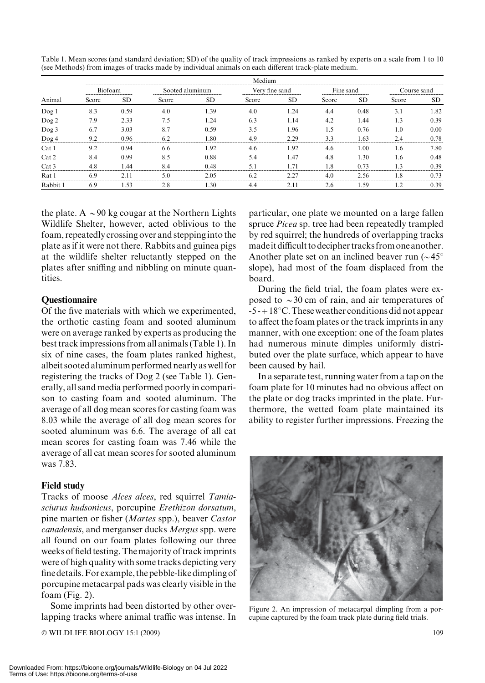| Animal                  | Medium                                       |                |                       |      |                                              |                            |                                             |      |                          |      |
|-------------------------|----------------------------------------------|----------------|-----------------------|------|----------------------------------------------|----------------------------|---------------------------------------------|------|--------------------------|------|
|                         | Biot<br>oam<br>----------------------------- |                | 1m1n1m                |      | sano<br>------------------------------------ |                            | Fine sand<br>------------------------------ |      | ------------------------ |      |
|                         | Score                                        | <b>SD</b>      | Score                 | SD   | Score                                        | SD                         | Score                                       | SD   | Score                    | SD   |
| $\log$ !                | 8.3                                          | 0.59           | 4.0                   | .39  | 4.0                                          | .24                        | 4.4                                         | 0.48 | 3.1                      | .82  |
| Dog 2                   | 7.9                                          | 2.33           | 7.5                   | -24  | 6.3                                          | . . 14                     | 4.2                                         | l.44 | 1.3                      | 0.39 |
| Dog 3                   | 6.7                                          | 3.03           | 8.7                   | 0.59 | 3.5                                          | .96                        | 1.5                                         | 0.76 |                          | 0.00 |
| $\log 4$                |                                              | በ ዓ6           |                       | -80  | $\Lambda$ 0                                  | 2 J Q<br>----------------- | 3 <sup>1</sup>                              | .63  | ------------------       |      |
| Cat 1                   | 9.2                                          | 0.94           | 6.6                   | . 92 | 4.6                                          | 1.92                       | 4.6                                         | L.OC |                          | '.80 |
| Cat 2                   | 8.4                                          | 0.99           | 8.5                   | 0.88 | 5.4                                          | 1.47                       | 4.8                                         | l.30 | 1.6                      | 0.48 |
| Cat 3<br>-------------- | ---------                                    | $\Delta\Delta$ | <br>----------------- |      | --------------<br>-----------------------    | ----------------------     | 1.8<br>                                     | በ 73 | -3                       |      |
| Rat 1                   | 6.9                                          |                | -------------         |      | -------------<br>---------------             | -----------------------    | 4.0<br>                                     | 2.56 |                          |      |
| Rabbit:                 | 6.9                                          | -53            |                       | .30  |                                              |                            | 2.6                                         | .59  |                          | 0.39 |

Table 1. Mean scores (and standard deviation; SD) of the quality of track impressions as ranked by experts on a scale from 1 to 10 (see Methods) from images of tracks made by individual animals on each different track-plate medium.

the plate. A  $\sim$ 90 kg cougar at the Northern Lights Wildlife Shelter, however, acted oblivious to the foam, repeatedly crossing over and stepping into the plate as if it were not there. Rabbits and guinea pigs at the wildlife shelter reluctantly stepped on the plates after sniffing and nibbling on minute quantities.

#### **Ouestionnaire**

Of the five materials with which we experimented, the orthotic casting foam and sooted aluminum were on average ranked by experts as producing the best track impressions from all animals (Table 1). In six of nine cases, the foam plates ranked highest, albeit sooted aluminum performed nearly as well for registering the tracks of Dog 2 (see Table 1). Generally, all sand media performed poorly in comparison to casting foam and sooted aluminum. The average of all dog mean scores for casting foam was 8.03 while the average of all dog mean scores for sooted aluminum was 6.6. The average of all cat mean scores for casting foam was 7.46 while the average of all cat mean scores for sooted aluminum was 7.83.

#### Field study

Tracks of moose Alces alces, red squirrel Tamiasciurus hudsonicus, porcupine Erethizon dorsatum, pine marten or fisher (Martes spp.), beaver Castor canadensis, and merganser ducks Mergus spp. were all found on our foam plates following our three weeks of field testing. The majority of track imprints were of high quality with some tracks depicting very finedetails.For example, the pebble-like dimpling of porcupine metacarpal pads was clearly visible in the foam (Fig. 2).

Some imprints had been distorted by other overlapping tracks where animal traffic was intense. In

© WILDLIFE BIOLOGY 15:1 (2009) 109

particular, one plate we mounted on a large fallen spruce Picea sp. tree had been repeatedly trampled by red squirrel; the hundreds of overlapping tracks madeit difficult to decipher tracks from one another. Another plate set on an inclined beaver run  $({\sim}45^{\circ}$ slope), had most of the foam displaced from the board.

During the field trial, the foam plates were exposed to  $\sim$ 30 cm of rain, and air temperatures of  $-5 - +18$  °C. These weather conditions did not appear to affect the foam plates or the track imprints in any manner, with one exception: one of the foam plates had numerous minute dimples uniformly distributed over the plate surface, which appear to have been caused by hail.

In a separate test, running water from a tap on the foam plate for 10 minutes had no obvious affect on the plate or dog tracks imprinted in the plate. Furthermore, the wetted foam plate maintained its ability to register further impressions. Freezing the



Figure 2. An impression of metacarpal dimpling from a porcupine captured by the foam track plate during field trials.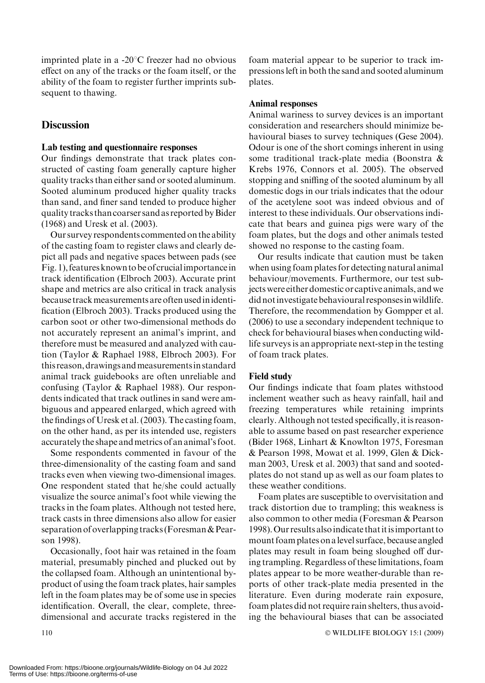imprinted plate in a  $-20^{\circ}$ C freezer had no obvious effect on any of the tracks or the foam itself, or the ability of the foam to register further imprints subsequent to thawing.

## **Discussion**

#### Lab testing and questionnaire responses

Our findings demonstrate that track plates constructed of casting foam generally capture higher quality tracks than either sand or sooted aluminum. Sooted aluminum produced higher quality tracks than sand, and finer sand tended to produce higher quality tracks than coarser sand as reported byBider (1968) and Uresk et al. (2003).

Our survey respondents commented on the ability of the casting foam to register claws and clearly depict all pads and negative spaces between pads (see Fig. 1), features known to be of crucialimportancein track identification (Elbroch 2003). Accurate print shape and metrics are also critical in track analysis because track measurements are often used in identification (Elbroch 2003). Tracks produced using the carbon soot or other two-dimensional methods do not accurately represent an animal's imprint, and therefore must be measured and analyzed with caution (Taylor & Raphael 1988, Elbroch 2003). For this reason, drawings andmeasurementsin standard animal track guidebooks are often unreliable and confusing (Taylor & Raphael 1988). Our respondents indicated that track outlines in sand were ambiguous and appeared enlarged, which agreed with the findings of Uresk et al. (2003). The casting foam, on the other hand, as per its intended use, registers accurately the shape andmetrics of an animal's foot.

Some respondents commented in favour of the three-dimensionality of the casting foam and sand tracks even when viewing two-dimensional images. One respondent stated that he/she could actually visualize the source animal's foot while viewing the tracks in the foam plates. Although not tested here, track casts in three dimensions also allow for easier separation of overlapping tracks (Foresman & Pearson 1998).

Occasionally, foot hair was retained in the foam material, presumably pinched and plucked out by the collapsed foam. Although an unintentional byproduct of using the foam track plates, hair samples left in the foam plates may be of some use in species identification. Overall, the clear, complete, threedimensional and accurate tracks registered in the foam material appear to be superior to track impressions left in both the sand and sooted aluminum plates.

#### Animal responses

Animal wariness to survey devices is an important consideration and researchers should minimize behavioural biases to survey techniques (Gese 2004). Odour is one of the short comings inherent in using some traditional track-plate media (Boonstra & Krebs 1976, Connors et al. 2005). The observed stopping and sniffing of the sooted aluminum by all domestic dogs in our trials indicates that the odour of the acetylene soot was indeed obvious and of interest to these individuals. Our observations indicate that bears and guinea pigs were wary of the foam plates, but the dogs and other animals tested showed no response to the casting foam.

Our results indicate that caution must be taken when using foam plates for detecting natural animal behaviour/movements. Furthermore, our test subjects were either domestic or captive animals, and we did notinvestigate behavioural responsesinwildlife. Therefore, the recommendation by Gompper et al. (2006) to use a secondary independent technique to check for behavioural biases when conducting wildlife surveys is an appropriate next-step in the testing of foam track plates.

#### Field study

Our findings indicate that foam plates withstood inclement weather such as heavy rainfall, hail and freezing temperatures while retaining imprints clearly. Although not tested specifically, it is reasonable to assume based on past researcher experience (Bider 1968, Linhart & Knowlton 1975, Foresman & Pearson 1998, Mowat et al. 1999, Glen & Dickman 2003, Uresk et al. 2003) that sand and sootedplates do not stand up as well as our foam plates to these weather conditions.

Foam plates are susceptible to overvisitation and track distortion due to trampling; this weakness is also common to other media (Foresman & Pearson 1998).Our results alsoindicate thatitisimportant to mount foam plates on alevel surface, because angled plates may result in foam being sloughed off during trampling. Regardless of these limitations, foam plates appear to be more weather-durable than reports of other track-plate media presented in the literature. Even during moderate rain exposure, foam plates did not require rain shelters, thus avoiding the behavioural biases that can be associated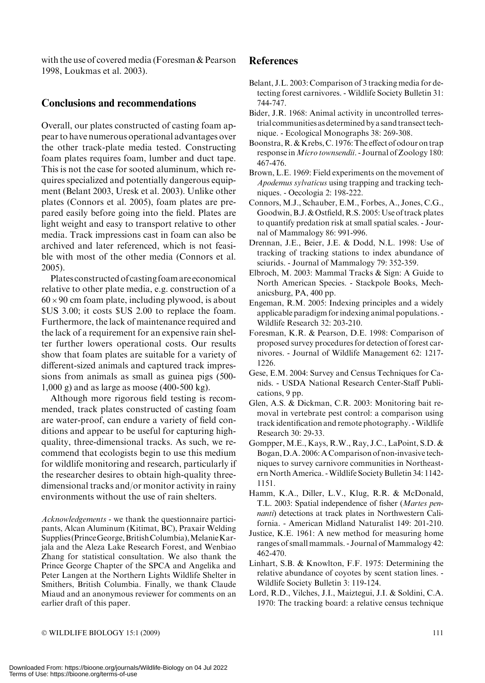with the use of covered media (Foresman & Pearson 1998, Loukmas et al. 2003).

## Conclusions and recommendations

Overall, our plates constructed of casting foam appear to have numerous operational advantages over the other track-plate media tested. Constructing foam plates requires foam, lumber and duct tape. This is not the case for sooted aluminum, which requires specialized and potentially dangerous equipment (Belant 2003, Uresk et al. 2003). Unlike other plates (Connors et al. 2005), foam plates are prepared easily before going into the field. Plates are light weight and easy to transport relative to other media. Track impressions cast in foam can also be archived and later referenced, which is not feasible with most of the other media (Connors et al. 2005).

Plates constructed of casting foam are economical relative to other plate media, e.g. construction of a  $60 \times 90$  cm foam plate, including plywood, is about \$US 3.00; it costs \$US 2.00 to replace the foam. Furthermore, the lack of maintenance required and the lack of a requirement for an expensive rain shelter further lowers operational costs. Our results show that foam plates are suitable for a variety of different-sized animals and captured track impressions from animals as small as guinea pigs (500- 1,000 g) and as large as moose (400-500 kg).

Although more rigorous field testing is recommended, track plates constructed of casting foam are water-proof, can endure a variety of field conditions and appear to be useful for capturing highquality, three-dimensional tracks. As such, we recommend that ecologists begin to use this medium for wildlife monitoring and research, particularly if the researcher desires to obtain high-quality threedimensional tracks and/or monitor activity in rainy environments without the use of rain shelters.

Acknowledgements - we thank the questionnaire participants, Alcan Aluminum (Kitimat, BC), Praxair Welding Supplies (Prince George, British Columbia), Melanie Karjala and the Aleza Lake Research Forest, and Wenbiao Zhang for statistical consultation. We also thank the Prince George Chapter of the SPCA and Angelika and Peter Langen at the Northern Lights Wildlife Shelter in Smithers, British Columbia. Finally, we thank Claude Miaud and an anonymous reviewer for comments on an earlier draft of this paper.

## **References**

- Belant, J.L. 2003: Comparison of 3 tracking media for detecting forest carnivores. - Wildlife Society Bulletin 31: 744-747.
- Bider, J.R. 1968: Animal activity in uncontrolled terrestrial communities as determined by a sand transect technique. - Ecological Monographs 38: 269-308.
- Boonstra, R. & Krebs, C. 1976: The effect of odour on trap response in Micro townsendii. - Journal of Zoology 180: 467-476.
- Brown, L.E. 1969: Field experiments on the movement of Apodemus sylvaticus using trapping and tracking techniques. - Oecologia 2: 198-222.
- Connors, M.J., Schauber, E.M., Forbes, A., Jones, C.G., Goodwin, B.J. & Ostfield, R.S. 2005: Use of track plates to quantify predation risk at small spatial scales. - Journal of Mammalogy 86: 991-996.
- Drennan, J.E., Beier, J.E. & Dodd, N.L. 1998: Use of tracking of tracking stations to index abundance of sciurids. - Journal of Mammalogy 79: 352-359.
- Elbroch, M. 2003: Mammal Tracks & Sign: A Guide to North American Species. - Stackpole Books, Mechanicsburg, PA, 400 pp.
- Engeman, R.M. 2005: Indexing principles and a widely applicable paradigm for indexing animal populations. - Wildlife Research 32: 203-210.
- Foresman, K.R. & Pearson, D.E. 1998: Comparison of proposed survey procedures for detection of forest carnivores. - Journal of Wildlife Management 62: 1217- 1226.
- Gese, E.M. 2004: Survey and Census Techniques for Canids. - USDA National Research Center-Staff Publications, 9 pp.
- Glen, A.S. & Dickman, C.R. 2003: Monitoring bait removal in vertebrate pest control: a comparison using track identification and remote photography. -Wildlife Research 30: 29-33.
- Gompper, M.E., Kays, R.W., Ray, J.C., LaPoint, S.D. & Bogan,D.A. 2006:A Comparison of non-invasive techniques to survey carnivore communities in Northeastern North America. -Wildlife Society Bulletin 34: 1142- 1151.
- Hamm, K.A., Diller, L.V., Klug, R.R. & McDonald, T.L. 2003: Spatial independence of fisher (Martes pennanti) detections at track plates in Northwestern California. - American Midland Naturalist 149: 201-210.
- Justice, K.E. 1961: A new method for measuring home ranges of small mammals. - Journal of Mammalogy 42: 462-470.
- Linhart, S.B. & Knowlton, F.F. 1975: Determining the relative abundance of coyotes by scent station lines. - Wildlife Society Bulletin 3: 119-124.
- Lord, R.D., Vilches, J.I., Maiztegui, J.I. & Soldini, C.A. 1970: The tracking board: a relative census technique

 $\odot$  WILDLIFE BIOLOGY 15:1 (2009) 111